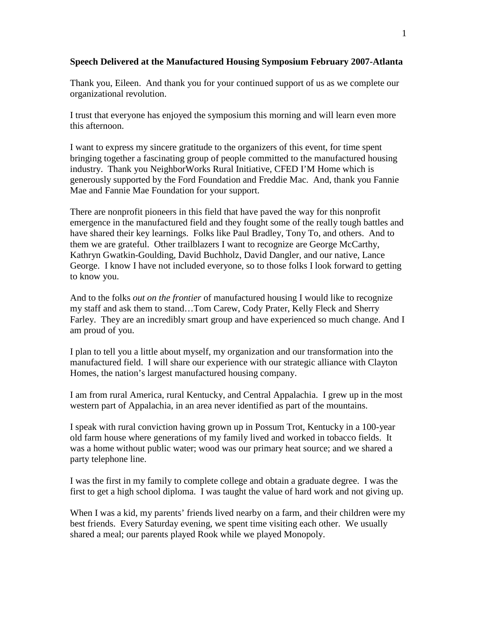## **Speech Delivered at the Manufactured Housing Symposium February 2007-Atlanta**

Thank you, Eileen. And thank you for your continued support of us as we complete our organizational revolution.

I trust that everyone has enjoyed the symposium this morning and will learn even more this afternoon.

I want to express my sincere gratitude to the organizers of this event, for time spent bringing together a fascinating group of people committed to the manufactured housing industry. Thank you NeighborWorks Rural Initiative, CFED I'M Home which is generously supported by the Ford Foundation and Freddie Mac. And, thank you Fannie Mae and Fannie Mae Foundation for your support.

There are nonprofit pioneers in this field that have paved the way for this nonprofit emergence in the manufactured field and they fought some of the really tough battles and have shared their key learnings. Folks like Paul Bradley, Tony To, and others. And to them we are grateful. Other trailblazers I want to recognize are George McCarthy, Kathryn Gwatkin-Goulding, David Buchholz, David Dangler, and our native, Lance George. I know I have not included everyone, so to those folks I look forward to getting to know you.

And to the folks *out on the frontier* of manufactured housing I would like to recognize my staff and ask them to stand…Tom Carew, Cody Prater, Kelly Fleck and Sherry Farley. They are an incredibly smart group and have experienced so much change. And I am proud of you.

I plan to tell you a little about myself, my organization and our transformation into the manufactured field. I will share our experience with our strategic alliance with Clayton Homes, the nation's largest manufactured housing company.

I am from rural America, rural Kentucky, and Central Appalachia. I grew up in the most western part of Appalachia, in an area never identified as part of the mountains.

I speak with rural conviction having grown up in Possum Trot, Kentucky in a 100-year old farm house where generations of my family lived and worked in tobacco fields. It was a home without public water; wood was our primary heat source; and we shared a party telephone line.

I was the first in my family to complete college and obtain a graduate degree. I was the first to get a high school diploma. I was taught the value of hard work and not giving up.

When I was a kid, my parents' friends lived nearby on a farm, and their children were my best friends. Every Saturday evening, we spent time visiting each other. We usually shared a meal; our parents played Rook while we played Monopoly.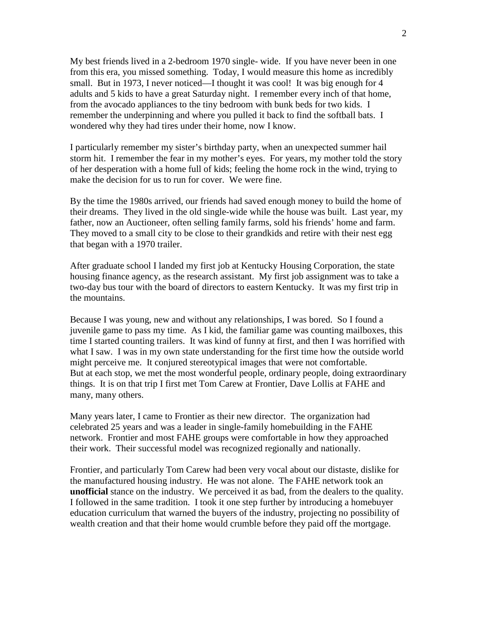My best friends lived in a 2-bedroom 1970 single- wide. If you have never been in one from this era, you missed something. Today, I would measure this home as incredibly small. But in 1973, I never noticed—I thought it was cool! It was big enough for 4 adults and 5 kids to have a great Saturday night. I remember every inch of that home, from the avocado appliances to the tiny bedroom with bunk beds for two kids. I remember the underpinning and where you pulled it back to find the softball bats. I wondered why they had tires under their home, now I know.

I particularly remember my sister's birthday party, when an unexpected summer hail storm hit. I remember the fear in my mother's eyes. For years, my mother told the story of her desperation with a home full of kids; feeling the home rock in the wind, trying to make the decision for us to run for cover. We were fine.

By the time the 1980s arrived, our friends had saved enough money to build the home of their dreams. They lived in the old single-wide while the house was built. Last year, my father, now an Auctioneer, often selling family farms, sold his friends' home and farm. They moved to a small city to be close to their grandkids and retire with their nest egg that began with a 1970 trailer.

After graduate school I landed my first job at Kentucky Housing Corporation, the state housing finance agency, as the research assistant. My first job assignment was to take a two-day bus tour with the board of directors to eastern Kentucky. It was my first trip in the mountains.

Because I was young, new and without any relationships, I was bored. So I found a juvenile game to pass my time. As I kid, the familiar game was counting mailboxes, this time I started counting trailers. It was kind of funny at first, and then I was horrified with what I saw. I was in my own state understanding for the first time how the outside world might perceive me. It conjured stereotypical images that were not comfortable. But at each stop, we met the most wonderful people, ordinary people, doing extraordinary things. It is on that trip I first met Tom Carew at Frontier, Dave Lollis at FAHE and many, many others.

Many years later, I came to Frontier as their new director. The organization had celebrated 25 years and was a leader in single-family homebuilding in the FAHE network. Frontier and most FAHE groups were comfortable in how they approached their work. Their successful model was recognized regionally and nationally.

Frontier, and particularly Tom Carew had been very vocal about our distaste, dislike for the manufactured housing industry. He was not alone. The FAHE network took an **unofficial** stance on the industry. We perceived it as bad, from the dealers to the quality. I followed in the same tradition. I took it one step further by introducing a homebuyer education curriculum that warned the buyers of the industry, projecting no possibility of wealth creation and that their home would crumble before they paid off the mortgage.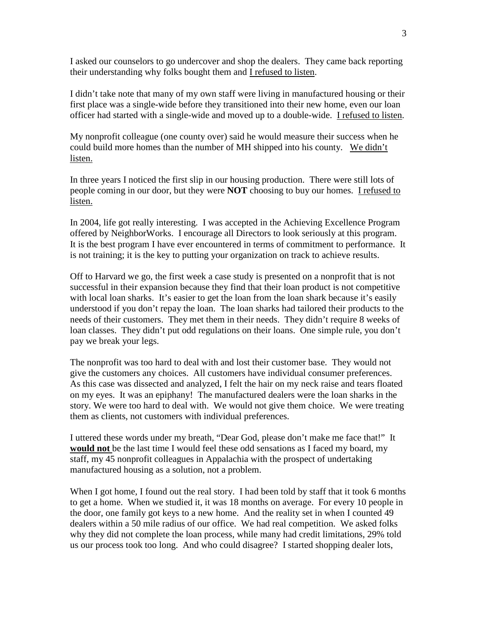I asked our counselors to go undercover and shop the dealers. They came back reporting their understanding why folks bought them and I refused to listen.

I didn't take note that many of my own staff were living in manufactured housing or their first place was a single-wide before they transitioned into their new home, even our loan officer had started with a single-wide and moved up to a double-wide. I refused to listen.

My nonprofit colleague (one county over) said he would measure their success when he could build more homes than the number of MH shipped into his county. We didn't listen.

In three years I noticed the first slip in our housing production. There were still lots of people coming in our door, but they were **NOT** choosing to buy our homes. I refused to listen.

In 2004, life got really interesting. I was accepted in the Achieving Excellence Program offered by NeighborWorks. I encourage all Directors to look seriously at this program. It is the best program I have ever encountered in terms of commitment to performance. It is not training; it is the key to putting your organization on track to achieve results.

Off to Harvard we go, the first week a case study is presented on a nonprofit that is not successful in their expansion because they find that their loan product is not competitive with local loan sharks. It's easier to get the loan from the loan shark because it's easily understood if you don't repay the loan. The loan sharks had tailored their products to the needs of their customers. They met them in their needs. They didn't require 8 weeks of loan classes. They didn't put odd regulations on their loans. One simple rule, you don't pay we break your legs.

The nonprofit was too hard to deal with and lost their customer base. They would not give the customers any choices. All customers have individual consumer preferences. As this case was dissected and analyzed, I felt the hair on my neck raise and tears floated on my eyes. It was an epiphany! The manufactured dealers were the loan sharks in the story. We were too hard to deal with. We would not give them choice. We were treating them as clients, not customers with individual preferences.

I uttered these words under my breath, "Dear God, please don't make me face that!" It **would not** be the last time I would feel these odd sensations as I faced my board, my staff, my 45 nonprofit colleagues in Appalachia with the prospect of undertaking manufactured housing as a solution, not a problem.

When I got home, I found out the real story. I had been told by staff that it took 6 months to get a home. When we studied it, it was 18 months on average. For every 10 people in the door, one family got keys to a new home. And the reality set in when I counted 49 dealers within a 50 mile radius of our office. We had real competition. We asked folks why they did not complete the loan process, while many had credit limitations, 29% told us our process took too long. And who could disagree? I started shopping dealer lots,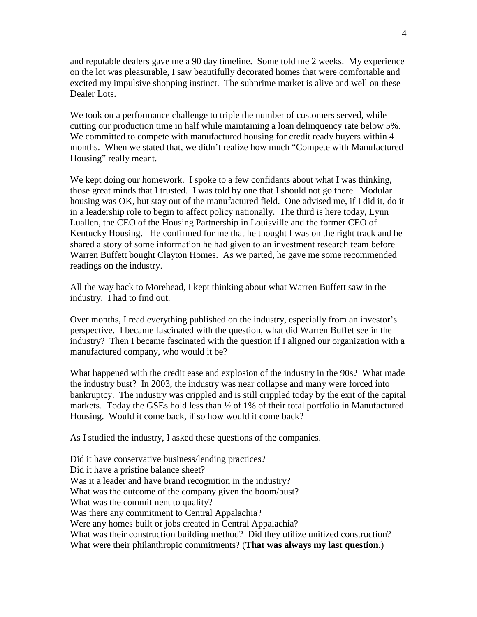and reputable dealers gave me a 90 day timeline. Some told me 2 weeks. My experience on the lot was pleasurable, I saw beautifully decorated homes that were comfortable and excited my impulsive shopping instinct. The subprime market is alive and well on these Dealer Lots.

We took on a performance challenge to triple the number of customers served, while cutting our production time in half while maintaining a loan delinquency rate below 5%. We committed to compete with manufactured housing for credit ready buyers within 4 months. When we stated that, we didn't realize how much "Compete with Manufactured Housing" really meant.

We kept doing our homework. I spoke to a few confidants about what I was thinking, those great minds that I trusted. I was told by one that I should not go there. Modular housing was OK, but stay out of the manufactured field. One advised me, if I did it, do it in a leadership role to begin to affect policy nationally. The third is here today, Lynn Luallen, the CEO of the Housing Partnership in Louisville and the former CEO of Kentucky Housing. He confirmed for me that he thought I was on the right track and he shared a story of some information he had given to an investment research team before Warren Buffett bought Clayton Homes. As we parted, he gave me some recommended readings on the industry.

All the way back to Morehead, I kept thinking about what Warren Buffett saw in the industry. I had to find out.

Over months, I read everything published on the industry, especially from an investor's perspective. I became fascinated with the question, what did Warren Buffet see in the industry? Then I became fascinated with the question if I aligned our organization with a manufactured company, who would it be?

What happened with the credit ease and explosion of the industry in the 90s? What made the industry bust? In 2003, the industry was near collapse and many were forced into bankruptcy. The industry was crippled and is still crippled today by the exit of the capital markets. Today the GSEs hold less than  $\frac{1}{2}$  of 1% of their total portfolio in Manufactured Housing. Would it come back, if so how would it come back?

As I studied the industry, I asked these questions of the companies.

Did it have conservative business/lending practices? Did it have a pristine balance sheet? Was it a leader and have brand recognition in the industry? What was the outcome of the company given the boom/bust? What was the commitment to quality? Was there any commitment to Central Appalachia? Were any homes built or jobs created in Central Appalachia? What was their construction building method? Did they utilize unitized construction? What were their philanthropic commitments? (**That was always my last question**.)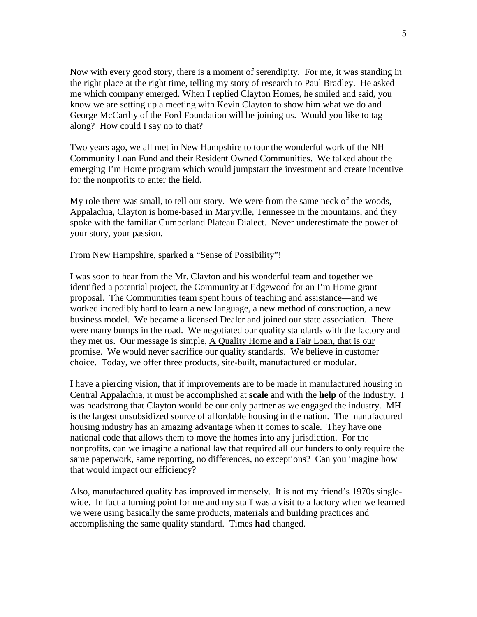Now with every good story, there is a moment of serendipity. For me, it was standing in the right place at the right time, telling my story of research to Paul Bradley. He asked me which company emerged. When I replied Clayton Homes, he smiled and said, you know we are setting up a meeting with Kevin Clayton to show him what we do and George McCarthy of the Ford Foundation will be joining us. Would you like to tag along? How could I say no to that?

Two years ago, we all met in New Hampshire to tour the wonderful work of the NH Community Loan Fund and their Resident Owned Communities. We talked about the emerging I'm Home program which would jumpstart the investment and create incentive for the nonprofits to enter the field.

My role there was small, to tell our story. We were from the same neck of the woods, Appalachia, Clayton is home-based in Maryville, Tennessee in the mountains, and they spoke with the familiar Cumberland Plateau Dialect. Never underestimate the power of your story, your passion.

From New Hampshire, sparked a "Sense of Possibility"!

I was soon to hear from the Mr. Clayton and his wonderful team and together we identified a potential project, the Community at Edgewood for an I'm Home grant proposal. The Communities team spent hours of teaching and assistance—and we worked incredibly hard to learn a new language, a new method of construction, a new business model. We became a licensed Dealer and joined our state association. There were many bumps in the road. We negotiated our quality standards with the factory and they met us. Our message is simple, A Quality Home and a Fair Loan, that is our promise. We would never sacrifice our quality standards. We believe in customer choice. Today, we offer three products, site-built, manufactured or modular.

I have a piercing vision, that if improvements are to be made in manufactured housing in Central Appalachia, it must be accomplished at **scale** and with the **help** of the Industry. I was headstrong that Clayton would be our only partner as we engaged the industry. MH is the largest unsubsidized source of affordable housing in the nation. The manufactured housing industry has an amazing advantage when it comes to scale. They have one national code that allows them to move the homes into any jurisdiction. For the nonprofits, can we imagine a national law that required all our funders to only require the same paperwork, same reporting, no differences, no exceptions? Can you imagine how that would impact our efficiency?

Also, manufactured quality has improved immensely. It is not my friend's 1970s singlewide. In fact a turning point for me and my staff was a visit to a factory when we learned we were using basically the same products, materials and building practices and accomplishing the same quality standard. Times **had** changed.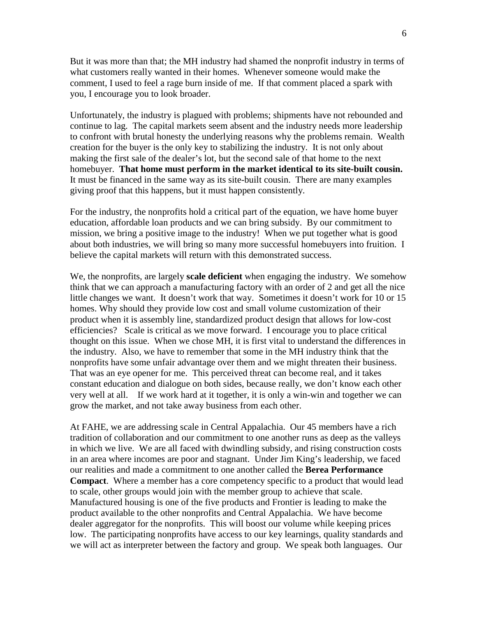But it was more than that; the MH industry had shamed the nonprofit industry in terms of what customers really wanted in their homes. Whenever someone would make the comment, I used to feel a rage burn inside of me. If that comment placed a spark with you, I encourage you to look broader.

Unfortunately, the industry is plagued with problems; shipments have not rebounded and continue to lag. The capital markets seem absent and the industry needs more leadership to confront with brutal honesty the underlying reasons why the problems remain. Wealth creation for the buyer is the only key to stabilizing the industry. It is not only about making the first sale of the dealer's lot, but the second sale of that home to the next homebuyer. **That home must perform in the market identical to its site-built cousin.** It must be financed in the same way as its site-built cousin. There are many examples giving proof that this happens, but it must happen consistently.

For the industry, the nonprofits hold a critical part of the equation, we have home buyer education, affordable loan products and we can bring subsidy. By our commitment to mission, we bring a positive image to the industry! When we put together what is good about both industries, we will bring so many more successful homebuyers into fruition. I believe the capital markets will return with this demonstrated success.

We, the nonprofits, are largely **scale deficient** when engaging the industry. We somehow think that we can approach a manufacturing factory with an order of 2 and get all the nice little changes we want. It doesn't work that way. Sometimes it doesn't work for 10 or 15 homes. Why should they provide low cost and small volume customization of their product when it is assembly line, standardized product design that allows for low-cost efficiencies? Scale is critical as we move forward. I encourage you to place critical thought on this issue. When we chose MH, it is first vital to understand the differences in the industry. Also, we have to remember that some in the MH industry think that the nonprofits have some unfair advantage over them and we might threaten their business. That was an eye opener for me. This perceived threat can become real, and it takes constant education and dialogue on both sides, because really, we don't know each other very well at all. If we work hard at it together, it is only a win-win and together we can grow the market, and not take away business from each other.

At FAHE, we are addressing scale in Central Appalachia. Our 45 members have a rich tradition of collaboration and our commitment to one another runs as deep as the valleys in which we live. We are all faced with dwindling subsidy, and rising construction costs in an area where incomes are poor and stagnant. Under Jim King's leadership, we faced our realities and made a commitment to one another called the **Berea Performance Compact**. Where a member has a core competency specific to a product that would lead to scale, other groups would join with the member group to achieve that scale. Manufactured housing is one of the five products and Frontier is leading to make the product available to the other nonprofits and Central Appalachia. We have become dealer aggregator for the nonprofits. This will boost our volume while keeping prices low. The participating nonprofits have access to our key learnings, quality standards and we will act as interpreter between the factory and group. We speak both languages. Our